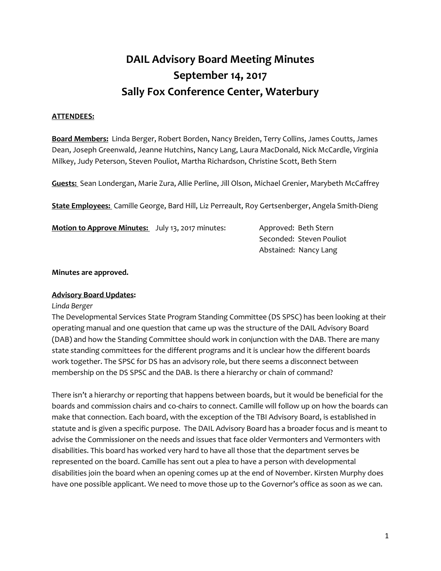# **DAIL Advisory Board Meeting Minutes September 14, 2017 Sally Fox Conference Center, Waterbury**

## **ATTENDEES:**

**Board Members:** Linda Berger, Robert Borden, Nancy Breiden, Terry Collins, James Coutts, James Dean, Joseph Greenwald, Jeanne Hutchins, Nancy Lang, Laura MacDonald, Nick McCardle, Virginia Milkey, Judy Peterson, Steven Pouliot, Martha Richardson, Christine Scott, Beth Stern

**Guests:** Sean Londergan, Marie Zura, Allie Perline, Jill Olson, Michael Grenier, Marybeth McCaffrey

**State Employees:** Camille George, Bard Hill, Liz Perreault, Roy Gertsenberger, Angela Smith-Dieng

| <b>Motion to Approve Minutes:</b> July 13, 2017 minutes: | Approved: Beth Stern     |
|----------------------------------------------------------|--------------------------|
|                                                          | Seconded: Steven Pouliot |
|                                                          | Abstained: Nancy Lang    |

**Minutes are approved.** 

## **Advisory Board Updates:**

#### *Linda Berger*

The Developmental Services State Program Standing Committee (DS SPSC) has been looking at their operating manual and one question that came up was the structure of the DAIL Advisory Board (DAB) and how the Standing Committee should work in conjunction with the DAB. There are many state standing committees for the different programs and it is unclear how the different boards work together. The SPSC for DS has an advisory role, but there seems a disconnect between membership on the DS SPSC and the DAB. Is there a hierarchy or chain of command?

There isn't a hierarchy or reporting that happens between boards, but it would be beneficial for the boards and commission chairs and co-chairs to connect. Camille will follow up on how the boards can make that connection. Each board, with the exception of the TBI Advisory Board, is established in statute and is given a specific purpose. The DAIL Advisory Board has a broader focus and is meant to advise the Commissioner on the needs and issues that face older Vermonters and Vermonters with disabilities. This board has worked very hard to have all those that the department serves be represented on the board. Camille has sent out a plea to have a person with developmental disabilities join the board when an opening comes up at the end of November. Kirsten Murphy does have one possible applicant. We need to move those up to the Governor's office as soon as we can.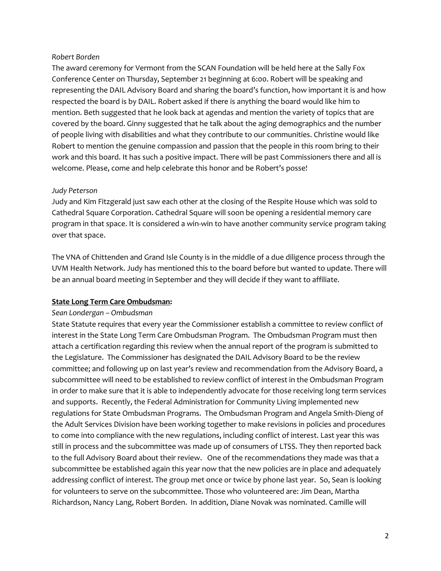#### *Robert Borden*

The award ceremony for Vermont from the SCAN Foundation will be held here at the Sally Fox Conference Center on Thursday, September 21 beginning at 6:00. Robert will be speaking and representing the DAIL Advisory Board and sharing the board's function, how important it is and how respected the board is by DAIL. Robert asked if there is anything the board would like him to mention. Beth suggested that he look back at agendas and mention the variety of topics that are covered by the board. Ginny suggested that he talk about the aging demographics and the number of people living with disabilities and what they contribute to our communities. Christine would like Robert to mention the genuine compassion and passion that the people in this room bring to their work and this board. It has such a positive impact. There will be past Commissioners there and all is welcome. Please, come and help celebrate this honor and be Robert's posse!

## *Judy Peterson*

Judy and Kim Fitzgerald just saw each other at the closing of the Respite House which was sold to Cathedral Square Corporation. Cathedral Square will soon be opening a residential memory care program in that space. It is considered a win-win to have another community service program taking over that space.

The VNA of Chittenden and Grand Isle County is in the middle of a due diligence process through the UVM Health Network. Judy has mentioned this to the board before but wanted to update. There will be an annual board meeting in September and they will decide if they want to affiliate.

## **State Long Term Care Ombudsman:**

#### *Sean Londergan – Ombudsman*

State Statute requires that every year the Commissioner establish a committee to review conflict of interest in the State Long Term Care Ombudsman Program. The Ombudsman Program must then attach a certification regarding this review when the annual report of the program is submitted to the Legislature. The Commissioner has designated the DAIL Advisory Board to be the review committee; and following up on last year's review and recommendation from the Advisory Board, a subcommittee will need to be established to review conflict of interest in the Ombudsman Program in order to make sure that it is able to independently advocate for those receiving long term services and supports. Recently, the Federal Administration for Community Living implemented new regulations for State Ombudsman Programs. The Ombudsman Program and Angela Smith-Dieng of the Adult Services Division have been working together to make revisions in policies and procedures to come into compliance with the new regulations, including conflict of interest. Last year this was still in process and the subcommittee was made up of consumers of LTSS. They then reported back to the full Advisory Board about their review. One of the recommendations they made was that a subcommittee be established again this year now that the new policies are in place and adequately addressing conflict of interest. The group met once or twice by phone last year. So, Sean is looking for volunteers to serve on the subcommittee. Those who volunteered are: Jim Dean, Martha Richardson, Nancy Lang, Robert Borden. In addition, Diane Novak was nominated. Camille will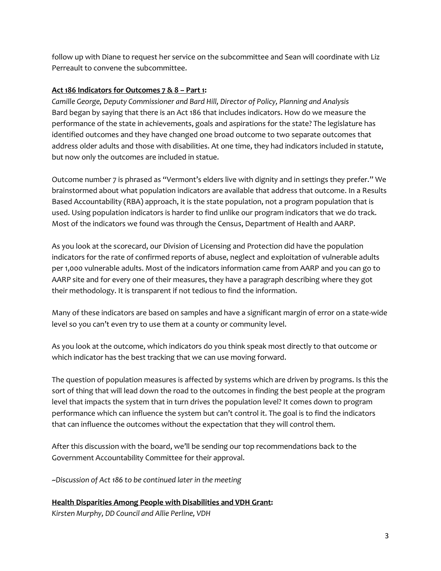follow up with Diane to request her service on the subcommittee and Sean will coordinate with Liz Perreault to convene the subcommittee.

## **Act 186 Indicators for Outcomes 7 & 8 – Part 1:**

*Camille George, Deputy Commissioner and Bard Hill, Director of Policy, Planning and Analysis* Bard began by saying that there is an Act 186 that includes indicators. How do we measure the performance of the state in achievements, goals and aspirations for the state? The legislature has identified outcomes and they have changed one broad outcome to two separate outcomes that address older adults and those with disabilities. At one time, they had indicators included in statute, but now only the outcomes are included in statue.

Outcome number 7 is phrased as "Vermont's elders live with dignity and in settings they prefer." We brainstormed about what population indicators are available that address that outcome. In a Results Based Accountability (RBA) approach, it is the state population, not a program population that is used. Using population indicators is harder to find unlike our program indicators that we do track. Most of the indicators we found was through the Census, Department of Health and AARP.

As you look at the scorecard, our Division of Licensing and Protection did have the population indicators for the rate of confirmed reports of abuse, neglect and exploitation of vulnerable adults per 1,000 vulnerable adults. Most of the indicators information came from AARP and you can go to AARP site and for every one of their measures, they have a paragraph describing where they got their methodology. It is transparent if not tedious to find the information.

Many of these indicators are based on samples and have a significant margin of error on a state-wide level so you can't even try to use them at a county or community level.

As you look at the outcome, which indicators do you think speak most directly to that outcome or which indicator has the best tracking that we can use moving forward.

The question of population measures is affected by systems which are driven by programs. Is this the sort of thing that will lead down the road to the outcomes in finding the best people at the program level that impacts the system that in turn drives the population level? It comes down to program performance which can influence the system but can't control it. The goal is to find the indicators that can influence the outcomes without the expectation that they will control them.

After this discussion with the board, we'll be sending our top recommendations back to the Government Accountability Committee for their approval.

~*Discussion of Act 186 to be continued later in the meeting* 

**Health Disparities Among People with Disabilities and VDH Grant:** *Kirsten Murphy, DD Council and Allie Perline, VDH*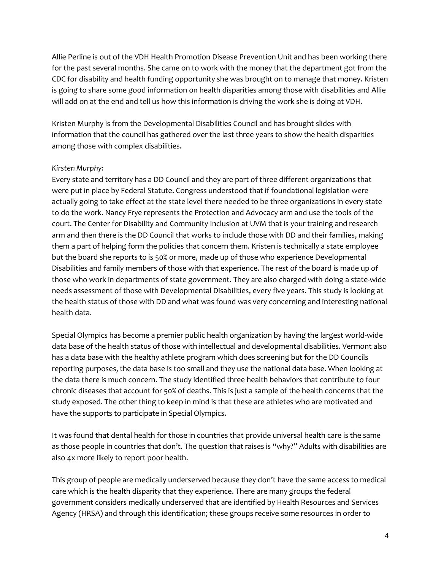Allie Perline is out of the VDH Health Promotion Disease Prevention Unit and has been working there for the past several months. She came on to work with the money that the department got from the CDC for disability and health funding opportunity she was brought on to manage that money. Kristen is going to share some good information on health disparities among those with disabilities and Allie will add on at the end and tell us how this information is driving the work she is doing at VDH.

Kristen Murphy is from the Developmental Disabilities Council and has brought slides with information that the council has gathered over the last three years to show the health disparities among those with complex disabilities.

## *Kirsten Murphy:*

Every state and territory has a DD Council and they are part of three different organizations that were put in place by Federal Statute. Congress understood that if foundational legislation were actually going to take effect at the state level there needed to be three organizations in every state to do the work. Nancy Frye represents the Protection and Advocacy arm and use the tools of the court. The Center for Disability and Community Inclusion at UVM that is your training and research arm and then there is the DD Council that works to include those with DD and their families, making them a part of helping form the policies that concern them. Kristen is technically a state employee but the board she reports to is 50% or more, made up of those who experience Developmental Disabilities and family members of those with that experience. The rest of the board is made up of those who work in departments of state government. They are also charged with doing a state-wide needs assessment of those with Developmental Disabilities, every five years. This study is looking at the health status of those with DD and what was found was very concerning and interesting national health data.

Special Olympics has become a premier public health organization by having the largest world-wide data base of the health status of those with intellectual and developmental disabilities. Vermont also has a data base with the healthy athlete program which does screening but for the DD Councils reporting purposes, the data base is too small and they use the national data base. When looking at the data there is much concern. The study identified three health behaviors that contribute to four chronic diseases that account for 50% of deaths. This is just a sample of the health concerns that the study exposed. The other thing to keep in mind is that these are athletes who are motivated and have the supports to participate in Special Olympics.

It was found that dental health for those in countries that provide universal health care is the same as those people in countries that don't. The question that raises is "why?" Adults with disabilities are also 4x more likely to report poor health.

This group of people are medically underserved because they don't have the same access to medical care which is the health disparity that they experience. There are many groups the federal government considers medically underserved that are identified by Health Resources and Services Agency (HRSA) and through this identification; these groups receive some resources in order to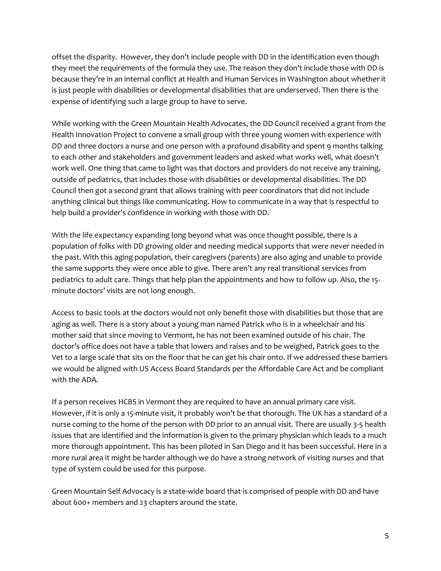offset the disparity. However, they don't include people with DD in the identification even though they meet the requirements of the formula they use. The reason they don't include those with DD is because they're in an internal conflict at Health and Human Services in Washington about whether it is just people with disabilities or developmental disabilities that are underserved. Then there is the expense of identifying such a large group to have to serve.

While working with the Green Mountain Health Advocates, the DD Council received a grant from the Health Innovation Project to convene a small group with three young women with experience with DD and three doctors a nurse and one person with a profound disability and spent 9 months talking to each other and stakeholders and government leaders and asked what works well, what doesn't work well. One thing that came to light was that doctors and providers do not receive any training, outside of pediatrics, that includes those with disabilities or developmental disabilities. The DD Council then got a second grant that allows training with peer coordinators that did not include anything clinical but things like communicating. How to communicate in a way that is respectful to help build a provider's confidence in working with those with DD.

With the life expectancy expanding long beyond what was once thought possible, there is a population of folks with DD growing older and needing medical supports that were never needed in the past. With this aging population, their caregivers (parents) are also aging and unable to provide the same supports they were once able to give. There aren't any real transitional services from pediatrics to adult care. Things that help plan the appointments and how to follow up. Also, the 15 minute doctors' visits are not long enough.

Access to basic tools at the doctors would not only benefit those with disabilities but those that are aging as well. There is a story about a young man named Patrick who is in a wheelchair and his mother said that since moving to Vermont, he has not been examined outside of his chair. The doctor's office does not have a table that lowers and raises and to be weighed, Patrick goes to the Vet to a large scale that sits on the floor that he can get his chair onto. If we addressed these barriers we would be aligned with US Access Board Standards per the Affordable Care Act and be compliant with the ADA.

If a person receives HCBS in Vermont they are required to have an annual primary care visit. However, if it is only a 15-minute visit, it probably won't be that thorough. The UK has a standard of a nurse coming to the home of the person with DD prior to an annual visit. There are usually 3-5 health issues that are identified and the information is given to the primary physician which leads to a much more thorough appointment. This has been piloted in San Diego and it has been successful. Here in a more rural area it might be harder although we do have a strong network of visiting nurses and that type of system could be used for this purpose.

Green Mountain Self Advocacy is a state-wide board that is comprised of people with DD and have about 600+ members and 23 chapters around the state.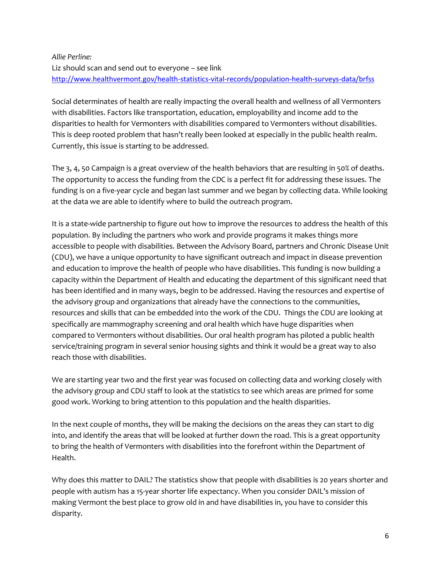# *Allie Perline:* Liz should scan and send out to everyone – see link <http://www.healthvermont.gov/health-statistics-vital-records/population-health-surveys-data/brfss>

Social determinates of health are really impacting the overall health and wellness of all Vermonters with disabilities. Factors like transportation, education, employability and income add to the disparities to health for Vermonters with disabilities compared to Vermonters without disabilities. This is deep rooted problem that hasn't really been looked at especially in the public health realm. Currently, this issue is starting to be addressed.

The 3, 4, 50 Campaign is a great overview of the health behaviors that are resulting in 50% of deaths. The opportunity to access the funding from the CDC is a perfect fit for addressing these issues. The funding is on a five-year cycle and began last summer and we began by collecting data. While looking at the data we are able to identify where to build the outreach program.

It is a state-wide partnership to figure out how to improve the resources to address the health of this population. By including the partners who work and provide programs it makes things more accessible to people with disabilities. Between the Advisory Board, partners and Chronic Disease Unit (CDU), we have a unique opportunity to have significant outreach and impact in disease prevention and education to improve the health of people who have disabilities. This funding is now building a capacity within the Department of Health and educating the department of this significant need that has been identified and in many ways, begin to be addressed. Having the resources and expertise of the advisory group and organizations that already have the connections to the communities, resources and skills that can be embedded into the work of the CDU. Things the CDU are looking at specifically are mammography screening and oral health which have huge disparities when compared to Vermonters without disabilities. Our oral health program has piloted a public health service/training program in several senior housing sights and think it would be a great way to also reach those with disabilities.

We are starting year two and the first year was focused on collecting data and working closely with the advisory group and CDU staff to look at the statistics to see which areas are primed for some good work. Working to bring attention to this population and the health disparities.

In the next couple of months, they will be making the decisions on the areas they can start to dig into, and identify the areas that will be looked at further down the road. This is a great opportunity to bring the health of Vermonters with disabilities into the forefront within the Department of Health.

Why does this matter to DAIL? The statistics show that people with disabilities is 20 years shorter and people with autism has a 15-year shorter life expectancy. When you consider DAIL's mission of making Vermont the best place to grow old in and have disabilities in, you have to consider this disparity.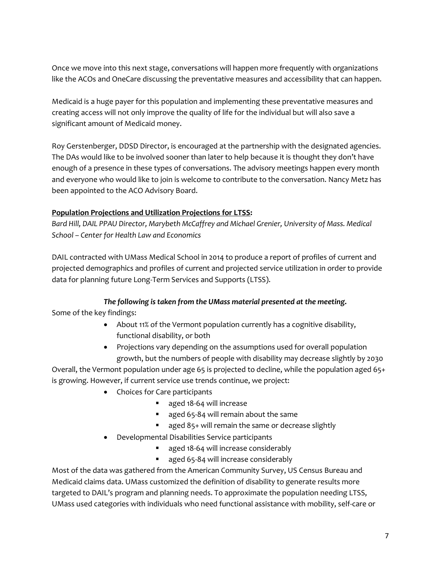Once we move into this next stage, conversations will happen more frequently with organizations like the ACOs and OneCare discussing the preventative measures and accessibility that can happen.

Medicaid is a huge payer for this population and implementing these preventative measures and creating access will not only improve the quality of life for the individual but will also save a significant amount of Medicaid money.

Roy Gerstenberger, DDSD Director, is encouraged at the partnership with the designated agencies. The DAs would like to be involved sooner than later to help because it is thought they don't have enough of a presence in these types of conversations. The advisory meetings happen every month and everyone who would like to join is welcome to contribute to the conversation. Nancy Metz has been appointed to the ACO Advisory Board.

# **Population Projections and Utilization Projections for LTSS:**

*Bard Hill, DAIL PPAU Director, Marybeth McCaffrey and Michael Grenier, University of Mass. Medical School – Center for Health Law and Economics*

DAIL contracted with UMass Medical School in 2014 to produce a report of profiles of current and projected demographics and profiles of current and projected service utilization in order to provide data for planning future Long-Term Services and Supports (LTSS).

# *The following is taken from the UMass material presented at the meeting.*

Some of the key findings:

- About 11% of the Vermont population currently has a cognitive disability, functional disability, or both
- Projections vary depending on the assumptions used for overall population growth, but the numbers of people with disability may decrease slightly by 2030

Overall, the Vermont population under age 65 is projected to decline, while the population aged 65+ is growing. However, if current service use trends continue, we project:

- Choices for Care participants
	- aged 18-64 will increase
	- aged 65-84 will remain about the same
	- aged 85+ will remain the same or decrease slightly
- Developmental Disabilities Service participants
	- aged 18-64 will increase considerably
	- aged 65-84 will increase considerably

Most of the data was gathered from the American Community Survey, US Census Bureau and Medicaid claims data. UMass customized the definition of disability to generate results more targeted to DAIL's program and planning needs. To approximate the population needing LTSS, UMass used categories with individuals who need functional assistance with mobility, self-care or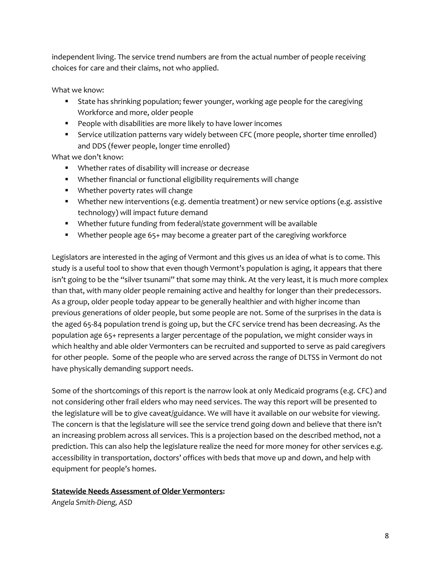independent living. The service trend numbers are from the actual number of people receiving choices for care and their claims, not who applied.

What we know:

- **■** State has shrinking population; fewer younger, working age people for the caregiving Workforce and more, older people
- People with disabilities are more likely to have lower incomes
- Service utilization patterns vary widely between CFC (more people, shorter time enrolled) and DDS (fewer people, longer time enrolled)

What we don't know:

- Whether rates of disability will increase or decrease
- Whether financial or functional eligibility requirements will change
- Whether poverty rates will change
- Whether new interventions (e.g. dementia treatment) or new service options (e.g. assistive technology) will impact future demand
- Whether future funding from federal/state government will be available
- Whether people age 65+ may become a greater part of the caregiving workforce

Legislators are interested in the aging of Vermont and this gives us an idea of what is to come. This study is a useful tool to show that even though Vermont's population is aging, it appears that there isn't going to be the "silver tsunami" that some may think. At the very least, it is much more complex than that, with many older people remaining active and healthy for longer than their predecessors. As a group, older people today appear to be generally healthier and with higher income than previous generations of older people, but some people are not. Some of the surprises in the data is the aged 65-84 population trend is going up, but the CFC service trend has been decreasing. As the population age 65+ represents a larger percentage of the population, we might consider ways in which healthy and able older Vermonters can be recruited and supported to serve as paid caregivers for other people. Some of the people who are served across the range of DLTSS in Vermont do not have physically demanding support needs.

Some of the shortcomings of this report is the narrow look at only Medicaid programs (e.g. CFC) and not considering other frail elders who may need services. The way this report will be presented to the legislature will be to give caveat/guidance. We will have it available on our website for viewing. The concern is that the legislature will see the service trend going down and believe that there isn't an increasing problem across all services. This is a projection based on the described method, not a prediction. This can also help the legislature realize the need for more money for other services e.g. accessibility in transportation, doctors' offices with beds that move up and down, and help with equipment for people's homes.

# **Statewide Needs Assessment of Older Vermonters:**

*Angela Smith-Dieng, ASD*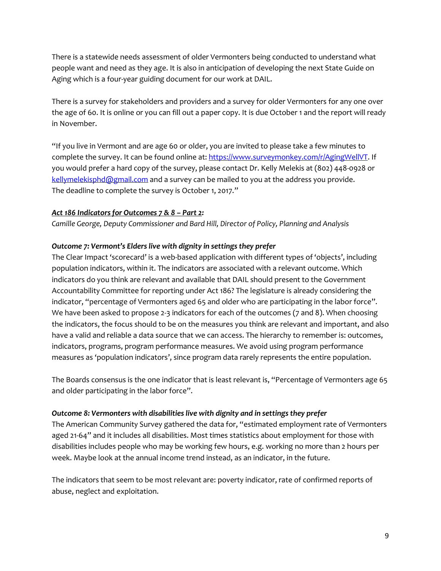There is a statewide needs assessment of older Vermonters being conducted to understand what people want and need as they age. It is also in anticipation of developing the next State Guide on Aging which is a four-year guiding document for our work at DAIL.

There is a survey for stakeholders and providers and a survey for older Vermonters for any one over the age of 60. It is online or you can fill out a paper copy. It is due October 1 and the report will ready in November.

"If you live in Vermont and are age 60 or older, you are invited to please take a few minutes to complete the survey. It can be found online at: [https://www.surveymonkey.com/r/AgingWellVT.](https://www.surveymonkey.com/r/AgingWellVT) If you would prefer a hard copy of the survey, please contact Dr. Kelly Melekis at (802) 448-0928 or [kellymelekisphd@gmail.com](mailto:kellymelekisphd@gmail.com) and a survey can be mailed to you at the address you provide. The deadline to complete the survey is October 1, 2017."

## *Act 186 Indicators for Outcomes 7 & 8 – Part 2:*

*Camille George, Deputy Commissioner and Bard Hill, Director of Policy, Planning and Analysis*

## *Outcome 7: Vermont's Elders live with dignity in settings they prefer*

The Clear Impact 'scorecard' is a web-based application with different types of 'objects', including population indicators, within it. The indicators are associated with a relevant outcome. Which indicators do you think are relevant and available that DAIL should present to the Government Accountability Committee for reporting under Act 186? The legislature is already considering the indicator, "percentage of Vermonters aged 65 and older who are participating in the labor force". We have been asked to propose 2-3 indicators for each of the outcomes (7 and 8). When choosing the indicators, the focus should to be on the measures you think are relevant and important, and also have a valid and reliable a data source that we can access. The hierarchy to remember is: outcomes, indicators, programs, program performance measures. We avoid using program performance measures as 'population indicators', since program data rarely represents the entire population.

The Boards consensus is the one indicator that is least relevant is, "Percentage of Vermonters age 65 and older participating in the labor force".

## *Outcome 8: Vermonters with disabilities live with dignity and in settings they prefer*

The American Community Survey gathered the data for, "estimated employment rate of Vermonters aged 21-64" and it includes all disabilities. Most times statistics about employment for those with disabilities includes people who may be working few hours, e.g. working no more than 2 hours per week. Maybe look at the annual income trend instead, as an indicator, in the future.

The indicators that seem to be most relevant are: poverty indicator, rate of confirmed reports of abuse, neglect and exploitation.